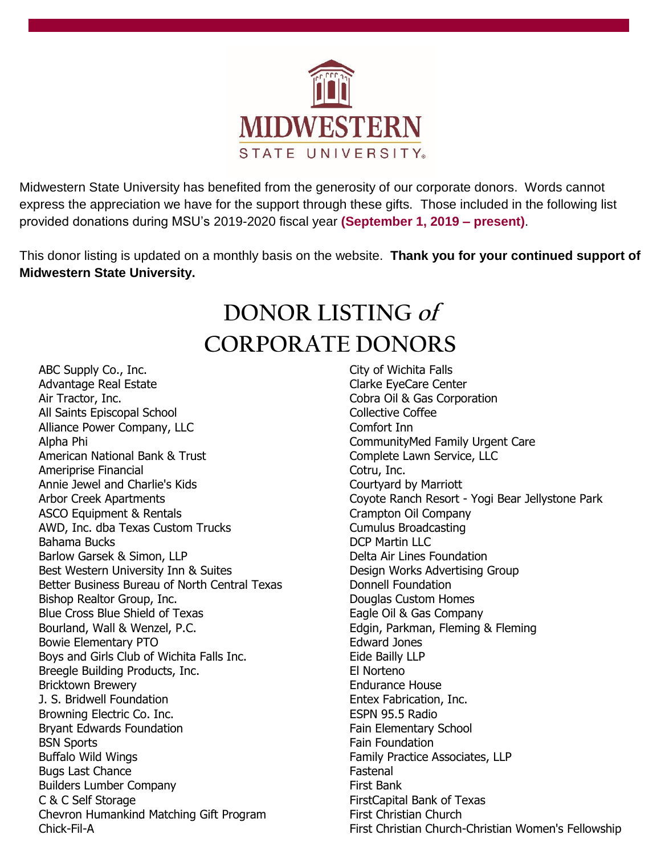

Midwestern State University has benefited from the generosity of our corporate donors. Words cannot express the appreciation we have for the support through these gifts. Those included in the following list provided donations during MSU's 2019-2020 fiscal year **(September 1, 2019 – present)**.

This donor listing is updated on a monthly basis on the website. **Thank you for your continued support of Midwestern State University.**

## **DONOR LISTING of CORPORATE DONORS**

ABC Supply Co., Inc. Advantage Real Estate Air Tractor, Inc. All Saints Episcopal School Alliance Power Company, LLC Alpha Phi American National Bank & Trust Ameriprise Financial Annie Jewel and Charlie's Kids Arbor Creek Apartments ASCO Equipment & Rentals AWD, Inc. dba Texas Custom Trucks Bahama Bucks Barlow Garsek & Simon, LLP Best Western University Inn & Suites Better Business Bureau of North Central Texas Bishop Realtor Group, Inc. Blue Cross Blue Shield of Texas Bourland, Wall & Wenzel, P.C. Bowie Elementary PTO Boys and Girls Club of Wichita Falls Inc. Breegle Building Products, Inc. Bricktown Brewery J. S. Bridwell Foundation Browning Electric Co. Inc. Bryant Edwards Foundation BSN Sports Buffalo Wild Wings Bugs Last Chance Builders Lumber Company C & C Self Storage Chevron Humankind Matching Gift Program Chick-Fil-A

City of Wichita Falls Clarke EyeCare Center Cobra Oil & Gas Corporation Collective Coffee Comfort Inn CommunityMed Family Urgent Care Complete Lawn Service, LLC Cotru, Inc. Courtyard by Marriott Coyote Ranch Resort - Yogi Bear Jellystone Park Crampton Oil Company Cumulus Broadcasting DCP Martin LLC Delta Air Lines Foundation Design Works Advertising Group Donnell Foundation Douglas Custom Homes Eagle Oil & Gas Company Edgin, Parkman, Fleming & Fleming Edward Jones Eide Bailly LLP El Norteno Endurance House Entex Fabrication, Inc. ESPN 95.5 Radio Fain Elementary School Fain Foundation Family Practice Associates, LLP Fastenal First Bank FirstCapital Bank of Texas First Christian Church First Christian Church-Christian Women's Fellowship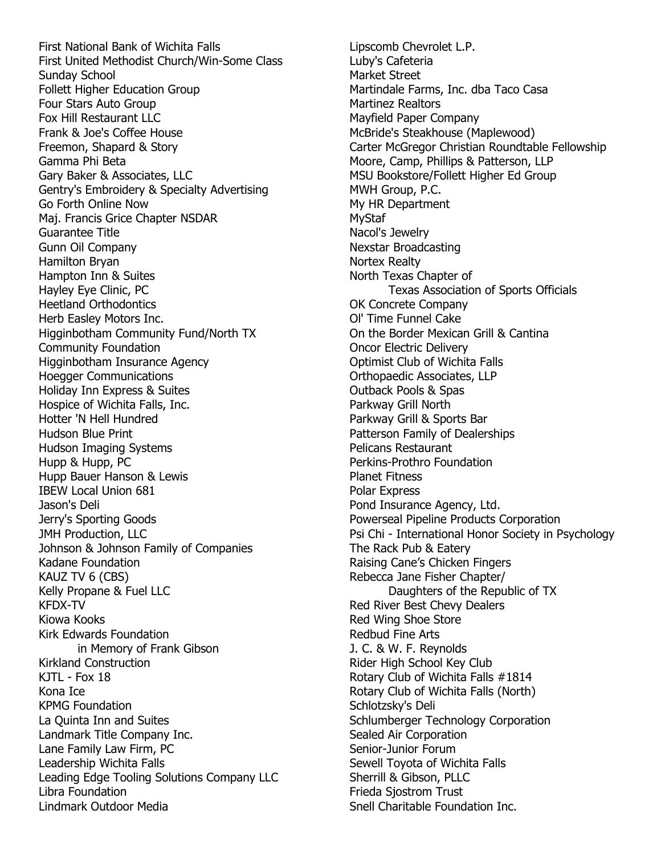First National Bank of Wichita Falls First United Methodist Church/Win-Some Class Sunday School Follett Higher Education Group Four Stars Auto Group Fox Hill Restaurant LLC Frank & Joe's Coffee House Freemon, Shapard & Story Gamma Phi Beta Gary Baker & Associates, LLC Gentry's Embroidery & Specialty Advertising Go Forth Online Now Maj. Francis Grice Chapter NSDAR Guarantee Title Gunn Oil Company Hamilton Bryan Hampton Inn & Suites Hayley Eye Clinic, PC Heetland Orthodontics Herb Easley Motors Inc. Higginbotham Community Fund/North TX Community Foundation Higginbotham Insurance Agency Hoegger Communications Holiday Inn Express & Suites Hospice of Wichita Falls, Inc. Hotter 'N Hell Hundred Hudson Blue Print Hudson Imaging Systems Hupp & Hupp, PC Hupp Bauer Hanson & Lewis IBEW Local Union 681 Jason's Deli Jerry's Sporting Goods JMH Production, LLC Johnson & Johnson Family of Companies Kadane Foundation KAUZ TV 6 (CBS) Kelly Propane & Fuel LLC KFDX-TV Kiowa Kooks Kirk Edwards Foundation in Memory of Frank Gibson Kirkland Construction KJTL - Fox 18 Kona Ice KPMG Foundation La Quinta Inn and Suites Landmark Title Company Inc. Lane Family Law Firm, PC Leadership Wichita Falls Leading Edge Tooling Solutions Company LLC Libra Foundation Lindmark Outdoor Media

Lipscomb Chevrolet L.P. Luby's Cafeteria Market Street Martindale Farms, Inc. dba Taco Casa Martinez Realtors Mayfield Paper Company McBride's Steakhouse (Maplewood) Carter McGregor Christian Roundtable Fellowship Moore, Camp, Phillips & Patterson, LLP MSU Bookstore/Follett Higher Ed Group MWH Group, P.C. My HR Department MyStaf Nacol's Jewelry Nexstar Broadcasting Nortex Realty North Texas Chapter of Texas Association of Sports Officials OK Concrete Company Ol' Time Funnel Cake On the Border Mexican Grill & Cantina Oncor Electric Delivery Optimist Club of Wichita Falls Orthopaedic Associates, LLP Outback Pools & Spas Parkway Grill North Parkway Grill & Sports Bar Patterson Family of Dealerships Pelicans Restaurant Perkins-Prothro Foundation Planet Fitness Polar Express Pond Insurance Agency, Ltd. Powerseal Pipeline Products Corporation Psi Chi - International Honor Society in Psychology The Rack Pub & Eatery Raising Cane's Chicken Fingers Rebecca Jane Fisher Chapter/ Daughters of the Republic of TX Red River Best Chevy Dealers Red Wing Shoe Store Redbud Fine Arts J. C. & W. F. Reynolds Rider High School Key Club Rotary Club of Wichita Falls #1814 Rotary Club of Wichita Falls (North) Schlotzsky's Deli Schlumberger Technology Corporation Sealed Air Corporation Senior-Junior Forum Sewell Toyota of Wichita Falls Sherrill & Gibson, PLLC Frieda Sjostrom Trust Snell Charitable Foundation Inc.